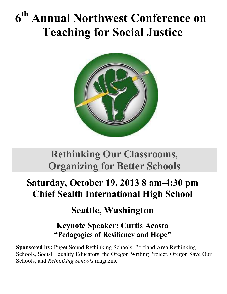# **6 th Annual Northwest Conference on Teaching for Social Justice**



# **Rethinking Our Classrooms, Organizing for Better Schools**

# **Saturday, October 19, 2013 8 am-4:30 pm Chief Sealth International High School**

# **Seattle, Washington**

# **Keynote Speaker: Curtis Acosta "Pedagogies of Resiliency and Hope"**

**Sponsored by:** Puget Sound Rethinking Schools, Portland Area Rethinking Schools, Social Equality Educators, the Oregon Writing Project, Oregon Save Our Schools, and *Rethinking Schools* magazine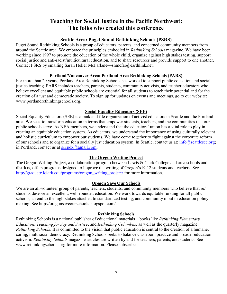# **Teaching for Social Justice in the Pacific Northwest: The folks who created this conference**

#### **Seattle Area: Puget Sound Rethinking Schools (PSRS)**

Puget Sound Rethinking Schools is a group of educators, parents, and concerned community members from around the Seattle area. We embrace the principles embodied in *Rethinking Schools* magazine. We have been working since 1997 to promote the education of the whole child, organize against high stakes testing, support social justice and anti-racist/multicultural education, and to share resources and provide support to one another. Contact PSRS by emailing Sarah Heller McFarlane—shmcfar@earthlink.net.

#### **Portland/Vancouver Area: Portland Area Rethinking Schools (PARS)**

For more than 20 years, Portland Area Rethinking Schools has worked to support public education and social justice teaching. PARS includes teachers, parents, students, community activists, and teacher educators who believe excellent and equitable public schools are essential for all students to reach their potential and for the creation of a just and democratic society. To sign up for updates on events and meetings, go to our website: www.portlandrethinkingschools.org.

#### **Social Equality Educators (SEE)**

Social Equality Educators (SEE) is a rank and file organization of activist educators in Seattle and the Portland area. We seek to transform education in terms that empower students, teachers, and the communities that our public schools serve. As NEA members, we understand that the educators' union has a vital role to play in creating an equitable education system. As educators, we understand the importance of using culturally relevant and holistic curriculum to empower our students. We have come together to fight against the corporate reform of our schools and to organize for a socially just education system. In Seattle, contact us at: [info@seattlesee.org;](mailto:info@seattlesee.org) in Portland, contact us at  $\frac{\text{seedx}(a) \text{gmail.com}}{\text{seedx}(a) \text{gmail.com}}$ .

#### **The Oregon Writing Project**

The Oregon Writing Project, a collaboration program between Lewis & Clark College and area schools and districts, offers programs designed to improve the writing of Oregon's K-12 students and teachers. See [http://graduate.lclark.edu/programs/oregon\\_writing\\_project/](http://graduate.lclark.edu/programs/oregon_writing_project/) for more information.

#### **Oregon Save Our Schools**

We are an all-volunteer group of parents, teachers, students, and community members who believe that *all* students deserve an excellent, well-rounded education. We work towards equitable funding for all public schools, an end to the high-stakes attached to standardized testing, and community input in education policy making. See http://oregonsaveourschools.blogspot.com/.

#### **Rethinking Schools**

Rethinking Schools is a national publisher of educational materials—books like *Rethinking Elementary Education*, *Teaching for Joy and Justice*, and *Rethinking Columbus*, as well as the quarterly magazine, *Rethinking Schools*. It is committed to the vision that public education is central to the creation of a humane, caring, multiracial democracy. Rethinking Schools seeks to balance classroom practice and broader education activism. *Rethinking Schools* magazine articles are written by and for teachers, parents, and students. See [www.rethinkingschools.org](http://www.rethinkingschools.org/) for more information. Please subscribe.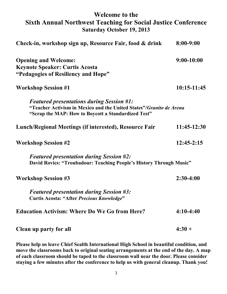# **Welcome to the Sixth Annual Northwest Teaching for Social Justice Conference Saturday October 19, 2013**

| Check-in, workshop sign up, Resource Fair, food & drink                                                                                                                        | $8:00 - 9:00$ |
|--------------------------------------------------------------------------------------------------------------------------------------------------------------------------------|---------------|
| <b>Opening and Welcome:</b><br><b>Keynote Speaker: Curtis Acosta</b><br>"Pedagogies of Resiliency and Hope"                                                                    | $9:00-10:00$  |
| <b>Workshop Session #1</b>                                                                                                                                                     | $10:15-11:45$ |
| <b>Featured presentations during Session #1:</b><br>"Teacher Activism in Mexico and the United States"/Granito de Arena<br>"Scrap the MAP: How to Boycott a Standardized Test" |               |
| Lunch/Regional Meetings (if interested), Resource Fair                                                                                                                         | $11:45-12:30$ |
| <b>Workshop Session #2</b>                                                                                                                                                     | $12:45-2:15$  |
| <b>Featured presentation during Session #2:</b><br>David Rovics: "Troubadour: Teaching People's History Through Music"                                                         |               |
| <b>Workshop Session #3</b>                                                                                                                                                     | $2:30-4:00$   |
| <b>Featured presentation during Session #3:</b><br><b>Curtis Acosta: "After Precious Knowledge"</b>                                                                            |               |
| <b>Education Activism: Where Do We Go from Here?</b>                                                                                                                           | $4:10-4:40$   |
| Clean up party for all                                                                                                                                                         | $4:30 +$      |

**Please help us leave Chief Sealth International High School in beautiful condition, and move the classrooms back to original seating arrangements at the end of the day. A map of each classroom should be taped to the classroom wall near the door. Please consider staying a few minutes after the conference to help us with general cleanup. Thank you!**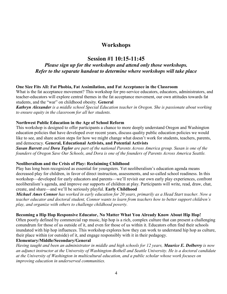# **Workshops**

## **Session #1 10:15-11:45**

## *Please sign up for the workshops and attend only those workshops. Refer to the separate handout to determine where workshops will take place*

#### **One Size Fits All: Fat Phobia, Fat Assimilation, and Fat Acceptance in the Classroom**

What is the fat acceptance movement? This workshop for pre-service educators, educators, administrators, and teacher-educators will explore central themes in the fat acceptance movement, our own attitudes towards fat students, and the "war" on childhood obesity. **General**

*Kathryn Alexander is a middle school Special Education teacher in Oregon. She is passionate about working to ensure equity in the classroom for all her students.*

#### **Northwest Public Education in the Age of School Reform**

This workshop is designed to offer participants a chance to more deeply understand Oregon and Washington education policies that have developed over recent years, discuss quality public education policies we would like to see, and share action steps for how we might change what doesn't work for students, teachers, parents, and democracy. **General, Educational Activists, and Potential Activists**

*Susan Barrett and Dora Taylor are part of the national Parents Across America group. Susan is one of the founders of Oregon Save Our Schools, and Dora is one of the founders of Parents Across America Seattle.*

#### **Neoliberalism and the Crisis of Play: Reclaiming Childhood**

Play has long been recognized as essential for youngsters. Yet neoliberalism's education agenda means decreased play for children, in favor of direct instruction, assessments, and so-called school readiness. In this workshop—developed for early educators and parents—we'll revisit our own early play experiences, confront neoliberalism's agenda, and improve our supports of children at play. Participants will write, read, draw, chat, create, and share—and we'll be seriously playful. **Early Childhood**

*Michael Ames Connor has worked in early education for 20 years, primarily as a Head Start teacher. Now a teacher educator and doctoral student, Connor wants to learn from teachers how to better support children's play, and organize with others to challenge childhood poverty.*

#### Becoming a Hip Hop Responsive Educator, No Matter What You Already Know About Hip Hop!

Often poorly defined by commercial rap music, hip hop is a rich, complex culture that can present a challenging conundrum for those of us outside of it, and even for those of us within it. Educators often find their schools inundated with hip hop influences. This workshop explores how they can work to understand hip hop as culture, their place within (or outside) of it, and engage responsibly with it in their pedagogy.

#### **Elementary/Middle/Secondary/General**

*Having taught and been an administrator in middle and high schools for 12 years, Maurice E. Dolberry is now an adjunct instructor at the University of Washington-Bothell and Seattle University. He is a doctoral candidate at the University of Washington in multicultural education, and a public scholar whose work focuses on improving education in underserved communities.*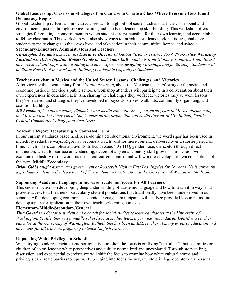#### **Global Leadership: Classroom Strategies You Can Use to Create a Class Where Everyone Gets It and Democracy Reigns**

Global Leadership reflects an innovative approach to high school social studies that focuses on social and environmental justice through service learning and hands-on leadership skill building. This workshop offers: strategies for creating an environment in which students are responsible for their own learning and accountable to fellow classmates. This workshop will also show ways to introduce students to global issues, challenge students to make changes in their own lives, and take action in their communities, homes, and schools.

#### **Secondary/Educators, Administrators and Teachers**

*Christopher Fontana has been the Executive Director of Global Visionaries since 1999. Pro-Justice Workshop Facilitators: Helen Ippolito, Robert Goodwin, and Anais Lull—students from Global Visionaries Youth Board have received anti-oppression training and have experience designing workshops and facilitating. Students will facilitate Part III of the workshop: Building Leadership Capacity in Students.*

#### **Teacher Activism in Mexico and the United States: Lessons, Challenges, and Victories**

After viewing the documentary film, *Granito de Arena*, about the Mexican teachers' struggle for social and economic justice in Mexico's public schools, workshop attendees will participate in a conversation about their own experiences in education activism, sharing the challenges they've faced, victories they've won, lessons they've learned, and strategies they've developed in boycotts, strikes, walkouts, community organizing, and coalition-building.

*Jill Freidberg is a documentary filmmaker and media educator. She spent seven years in Mexico documenting the Mexican teachers' movement. She teaches media production and media literacy at UW Bothell, Seattle Central Community College, and Reel Grrls.*

#### **Academic Rigor: Recapturing A Contested Term**

In our current standards based neoliberal-dominated educational environment, the word rigor has been used in incredibly reductive ways. Rigor has become a watchword for more content, delivered over a shorter period of time, which is less complicated, avoids difficult issues (LGBTQ, gender, race, class, etc.) through direct instruction, tested for surface understanding, devoid of any emancipatory skill growth. This session will examine the history of the word, its use in our current context and will work to develop our own conceptions of the term. **Middle/Secondary**

*Brian Gibbs taught history and government at Roosevelt High in East Los Angeles for 16 years. He is currently a graduate student in the department of Curriculum and Instruction at the University of Wisconsin, Madison.*

#### **Supporting Academic Language to Increase Academic Access for All Learners**

This session focuses on developing deep understanding of academic language and how to teach it in ways that provide access to all learners, particularly student populations that traditionally have been underserved in our schools. After developing common "academic language," participants will analyze provided lesson plans and develop a plan for application in their own teaching/learning contexts.

#### **Elementary/Middle/Secondary/General**

*Tina Gourd is a doctoral student and a coach for social studies teacher candidates at the University of Washington, Seattle. She was a middle school social studies teacher for nine years. Karen Gourd is a teacher educator at the University of Washington, Bothell. She has been an ESL teacher at many levels of education and advocates for all teachers preparing to teach English learners.*

#### **Unpacking White Privilege in Schools**

When trying to address racial disproportionality, too often the focus is on fixing "the other," that is families or children of color, leaving white perspectives and culture normalized and unexplored. Through story telling, discussion, and experiential exercises we will shift the focus to examine how white cultural norms and privileges can create barriers to equity. By bringing into focus the ways white privilege operates on a personal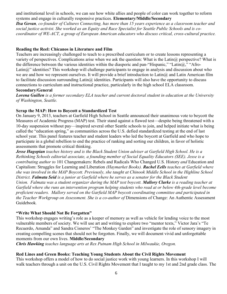and institutional level in schools, we can see how white allies and people of color can work together to reform systems and engage in culturally responsive practices. **Elementary/Middle/Secondary**

*Ilsa Govan, co-founder of Cultures Connecting, has more than 15 years experience as a classroom teacher and social justice activist. She worked as an Equity and Race Specialist for Seattle Public Schools and is cocoordinator of WE-ACT, a group of European American educators who discuss critical, cross-cultural practice.* 

#### **Reading the Reel: Chicanos in Literature and Film**

Teachers are increasingly challenged to teach to a prescribed curriculum or to create lessons representing a variety of perspectives. Complications arise when we ask the question: What is the Latin@ perspective? What is the difference between the various identities within the diasporic and pan-"Hispanic," "Latin@," "Afro-Latin@" identities? This workshop will challenge participants to engage in analysis and discussion about who we are and how we represent ourselves. It will provide a brief introduction to Latin@ and Latin American film to facilitate discussion surrounding Latin $\omega$  identities. Participants will also have the opportunity to discuss connections to curriculum and instructional practice, particularly in the high school ELA classroom.

#### **Secondary/General**

*Lorena Guillen is a former secondary ELA teacher and current doctoral student in education at the University of Washington, Seattle.*

#### **Scrap the MAP: How to Boycott a Standardized Test**

On January 9, 2013, teachers at Garfield High School in Seattle announced their unanimous vote to boycott the Measures of Academic Progress (MAP) test. Their stand against a flawed test—despite being threatened with a 10-day suspension without pay—inspired several other Seattle schools to join, and helped initiate what is being called the "education spring," as communities across the U.S. defied standardized testing at the end of last school year. This panel features teacher and student leaders who led the boycott at Garfield and who hope to participate in a global rebellion to end the practice of ranking and sorting our children, in favor of holistic assessments that promote critical thinking.

*Jesse Hagopian teaches history and is the Black Student Union adviser at Garfield High School. He is a Rethinking Schools editorial associate, a founding member of Social Equality Educators (SEE). Jesse is a contributing author to* 101 Changemakers: Rebels and Radicals Who Changed U.S. History *and* Education and Capitalism: Struggles for Learning and Liberation *(Haymarket Books). Rachel Eells teaches at Garfield where she was involved in the MAP Boycott. Previously, she taught at Chinook Middle School in the Highline School District. Falmata Seid is a junior at Garfield where he serves as a senator for the Black Student Union. Falmata was a student organizer during the MAP test boycott. Mallory Clarke is a reading teacher at Garfield where she runs an intervention program helping students who read at or below 4th-grade level become proficient readers. Mallory served on the Garfield MAP boycott coordinating committee and participated in the Teacher Workgroup on Assessment. She is a co-author of Dimensions of Change: An Authentic Assessment* Guidebook*.*

#### **"Write What Should Not Be Forgotten"**

This workshop engages writing's role as a keeper of memory as well as vehicle for lending voice to the most vulnerable members of society. We will use art and writing to explore two "mentor texts," Victor Jara's "Te Recuerdo, Amanda" and Sandra Cisneros' "The Monkey Garden" and investigate the role of sensory imagery in creating compelling scenes that should not be forgotten. Finally, we will document vivid and unforgettable moments from our own lives. **Middle/Secondary** 

*Chris Hawking teaches language arts at Rex Putnam High School in Milwaukie, Oregon.*

#### **Red Lines and Green Books: Teaching Young Students About the Civil Rights Movement**

This workshop offers a model of how to do social justice work with young learners. In this workshop I will walk teachers through a unit on the U.S. Civil Rights Movement that I taught to my 1st and 2nd grade class. The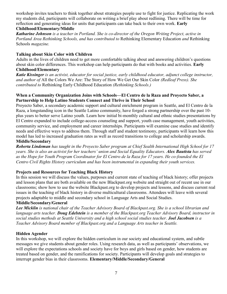workshop invites teachers to think together about strategies people use to fight for justice. Replicating the work my students did, participants will collaborate on writing a brief play about redlining. There will be time for reflection and generating ideas for units that participants can take back to their own work. **Early Childhood/Elementary/Middle**

*Katharine Johnson is a teacher in Portland. She is co-director of the Oregon Writing Project, active in Portland Area Rethinking Schools, and has contributed to* Rethinking Elementary Education *and* Rethinking Schools *magazine.*

#### **Talking about Skin Color with Children**

Adults in the lives of children need to get more comfortable talking about and answering children's questions about skin color differences. This workshop can help participants do that with books and activities. **Early**

#### **Childhood/Elementary**

*Katie Kissinger is an activist, educator for social justice, early childhood educator, adjunct college instructor, and author of* All the Colors We Are: The Story of How We Get Our Skin Color *(Redleaf Press). She contributed to* Rethinking Early Childhood Education *(Rethinking Schools.)*

#### **When a Community Organization Joins with Schools—El Centro de la Raza and Proyecto Saber, a Partnership to Help Latino Students Connect and Thrive in Their School**

Proyecto Saber, a secondary academic support and cultural enrichment program in Seattle, and El Centro de la Raza, a longstanding icon in the Seattle Latino community, have forged a strong partnership over the past 10 plus years to better serve Latino youth. Learn how initial bi-monthly cultural and ethnic studies presentations by El Centro expanded to include college-access counseling and support, youth case management, youth activities, community service, and employment and career internships. Participants will examine case studies and identify needs and effective ways to address them. Through staff and student testimony, participants will learn how this model has led to increased graduation rates as well as record transitions to college and scholarship awards.

#### **Middle/Secondary**

*Roberta Lindeman has taught in the Proyecto Saber program at Chief Sealth International High School for 17 years. She is also an activist for her teachers' union and Social Equality Educators. Alex Bautista has served as the Hope for Youth Program Coordinator for El Centro de la Raza for 17 years. He co-founded the El Centro Civil Rights History curriculum and has been instrumental in expanding their youth services.* 

#### **Projects and Resources for Teaching Black History**

In this session we will discuss the values, purposes and current state of teaching of black history; offer projects and lesson plans that are both available on the new Blackpast.org website and straight out of recent use in our classrooms; show how to use the website Blackpast.org to develop projects and lessons, and discuss current real issues in the teaching of black history in diverse multicultural classrooms. Attendees will leave with several projects adaptable to middle and secondary school in Language Arts and Social Studies.

#### **Middle/Secondary/General**

*Lee Micklin is national chair of the Teacher Advisory Board of Blackpast.org. She is a school librarian and language arts teacher. Doug Edelstein is a member of the Blackpast.org Teacher Advisory Board, instructor in social studies methods at Seattle University and a high school social studies teacher. Joel Jacobsen is a Teacher Advisory Board member of Blackpast.org and a Language Arts teacher in Seattle.*

#### **Hidden Agender**

In this workshop, we will explore the hidden curriculum in our society and educational system, and subtle messages we give students about gender roles. Using research data, as well as participants' observations, we will explore the expectations schools and society have for boys and girls based on gender, how students are treated based on gender, and the ramifications for society. Participants will develop goals and strategies to interrupt gender bias in their classrooms. **Elementary/Middle/Secondary/General**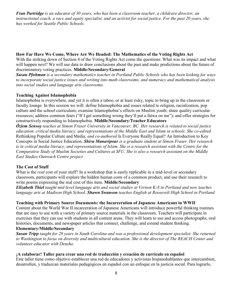*Fran Partridge is an educator of 30 years, who has been a classroom teacher, a childcare director, an instructional coach, a race and equity specialist, and an activist for social justice. For the past 20 years, she has worked for Seattle Public Schools.*

#### **How Far Have We Come, Where Are We Headed: The Mathematics of the Voting Rights Act**

With the striking down of Section 4 of the Voting Rights Act come the questions: What was its impact and what will happen next? We will use data to draw conclusions about the past and make predictions about the future of discriminatory voting practices. **Middle/Secondary/General**

*Susan Pfohman is a secondary mathematics teacher in Portland Public Schools who has been looking for ways to incorporate social justice issues and writing into math classrooms, and numeracy and mathematical analysis into social studies and language arts classrooms.*

#### **Teaching Against Islamophobia**

Islamophobia is everywhere, and yet it is often a taboo, or at least risky, topic to bring up in the classroom or faculty lounge. In this session we will: define Islamophobia and issues related to religion, racialization, pop culture and the school curriculum; examine Islamophobia's effects on Muslim youth; share quality curricular resources; address common fears ("If I get something wrong they'll put a fatwa on me"); and offer strategies for constructively responding to Islamophobia. **Middle/Secondary/Teacher Educators**

*Özlem Sensoy teaches at Simon Fraser University in Vancouver, BC. Her research is related to social justice education, critical media literacy, and representations of the Middle East and Islam in schools. She co-edited*  Rethinking Popular Culture and Media*, and co-authored* Is Everyone Really Equal? An Introduction to Key Concepts in Social Justice Education. *Shiva Manavipour is a graduate student at Simon Fraser. Her research*  is in critical media literacy, and representations of Islam. She is a research assistant with the Centre for the *Comparative Study of Muslim Societies and Cultures at SFU. She is also a research assistant on the Middle East Studies Outreach Centre project.*

#### **The Cost of Stuff**

What is the *real* cost of your stuff? In a workshop that is easily replicable in a mid-level or secondary classroom, participants will explore the hidden human costs of a common product, and use their research to write poems expressing the real cost of this item. **Middle/Secondary**

*Elizabeth Thiel taught mid-level language arts and social studies at Vernon K-8 in Portland and now teaches language arts at Madison High School. Shawn Swanson teaches English at Roosevelt High School in Portland.* 

#### **Teaching with Primary Source Documents: the Incarceration of Japanese Americans in WWII**

Content about the World War II incarceration of Japanese Americans will introduce powerful thinking routines that are easy to use with a variety of primary source materials in the classroom. Teachers will participate in exercises that they can use with students in all content areas. They will learn to use and access photographs, oral histories, documents, and newspaper articles that connect, challenge, and extend student thinking.

#### **Elementary/Middle/Secondary**

*Susan Tripp taught for 28 years in South Carolina and was a professional development specialist. She returned to Washington to focus on diversity and multicultural education. She is the director of The REACH Center and volunteer educator with Densho.*

#### **¡A colaborar! Taller para crear una red de traducción y creación de currículo en español**

Este taller tiene como objetivo establecer una red de educadores y activistas hispanohablantes que intercambien, desarrollen, y traduzcan materiales pedagógicos en español con un enfoque en la justicia social. Para lograrlo,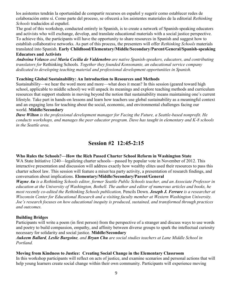los asistentes tendrán la oportunidad de compartir recursos en español y sugerir como establecer redes de colaboración entre sí. Como parte del proceso, se ofrecerá a los asistentes materiales de la editorial *Rethinking Schools* traducidos al español.

The goal of this workshop, conducted entirely in Spanish, is to create a network of Spanish-speaking educators and activists who will exchange, develop, and translate educational materials with a social justice perspective. To achieve this, the participants will have the opportunity to share resources in Spanish and suggest how to establish collaborative networks. As part of this process, the presenters will offer *Rethinking Schools* materials translated into Spanish. **Early Childhood/Elementary/Middle/Secondary/Parent/General/Spanish-speaking** 

#### **Educators and Activists**

*Andreina Velasco and Maria Cecilia de Valdenebro are native Spanish-speakers, educators, and contributing translators for* Rethinking Schools*. Together they founded Konsonante, an educational service company dedicated to developing teaching material and professional development opportunities in Spanish.*

#### **Teaching Global Sustainability: An Introduction to Resources and Methods**

Sustainability—we hear the word more and more—what does it mean? In this session (geared toward high school, applicable to middle school) we will unpack its meanings and explore teaching methods and curriculum resources that support students in moving beyond the notion that sustainability means maintaining one's current lifestyle. Take part in hands-on lessons and learn how teachers use global sustainability as a meaningful context and an engaging lens for teaching about the social, economic, and environmental challenges facing our world. **Middle/Secondary**

*Dave Wilton is the professional development manager for Facing the Future, a Seattle-based nonprofit. He conducts workshops, and manages the peer educator program. Dave has taught in elementary and K-8 schools in the Seattle area.* 

# **Session #2 12:45-2:15**

#### **Who Rules the Schools?—How the Rich Passed Charter School Reform in Washington State**

WA State Initiative 1240—legalizing charter schools—passed by popular vote in November of 2012. This interactive presentation and discussion will address exactly how wealthy elites used their resources to pass this charter school law. This session will feature a mixer/tea party activity, a presentation of research findings, and conversation about implications. **Elementary/Middle/Secondary/Parent/General**

*Wayne Au is a Rethinking Schools editor, former Seattle Public Schools teacher, and an Associate Professor in education at the University of Washington, Bothell. The author and editor of numerous articles and books, he most recently co-edited the Rethinking Schools publication,* Pencils Down*. Joseph J. Ferrare is a researcher at Wisconsin Center for Educational Research and a visiting faculty member at Western Washington University. Joe's research focuses on how educational inequity is produced, sustained, and transformed through practices and outcomes.*

#### **Building Bridges**

Participants will write a poem (in first person) from the perspective of a stranger and discuss ways to use words and poetry to build compassion, empathy, and affinity between diverse groups to spark the intellectual curiosity necessary for solidarity and social justice. **Middle/Secondary**

#### *Aukeem Ballard, Leslie Burgoine, and Bryan Chu are social studies teachers at Lane Middle School in Portland.*

#### **Moving from Kindness to Justice: Creating Social Change in the Elementary Classroom**

In this workshop participants will reflect on acts of justice, and examine scenarios and personal actions that will help young learners create social change within their own community. Participants will experience moving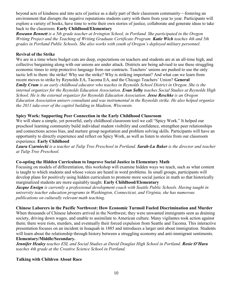beyond acts of kindness and into acts of justice as a daily part of their classroom community—fostering an environment that disrupts the negative reputations students carry with them from year to year. Participants will explore a variety of books, have time to write their own stories of justice, collaborate and generate ideas to take back to the classroom. **Early Childhood/Elementary**

*Roseann Bennett is a 5th grade teacher at Irvington School, in Portland. She participated in the Oregon Writing Project and the Teaching of Writing Graduate Certificate Program. Katie Wich teaches 4th and 5th grades in Portland Public Schools. She also works with youth of Oregon's deployed military personnel.*

#### **Revival of the Strike**

We are in a time where budget cuts are deep, expectations on teachers and students are at an all-time high, and collective bargaining along with our unions are under attack. Districts are being advised to use these struggling economic times to strip protective language from our contracts. Teachers' unions are pushed to use the only tactic left to them: the strike! Why use the strike? Why is striking important? And what can we learn from recent moves to strike by Reynolds EA, Tacoma EA, and the Chicago Teachers' Union? **General** *Emily Crum is an early childhood educator who teaches in Reynolds School District in Oregon. She is the internal organizer for the Reynolds Education Association. Evan Selby teaches Social Studies at Reynolds High School. He is the external organizer for Reynolds Education Association. Jesse Reschke is an Oregon Education Association uniserv consultant and was instrumental in the Reynolds strike. He also helped organize the 2011 take-over of the capitol building in Madison, Wisconsin.*

#### **Spicy Work: Supporting Peer Connection in the Early Childhood Classroom**

We will share a simple, yet powerful, early childhood classroom tool we call "Spicy Work." It helped our preschool learning community build individual student visibility and confidence, strengthen peer relationships and connections across bias, and nurture group negotiation and problem solving skills. Participants will have an opportunity to directly experience and reflect on Spicy Work, as well as listen to stories from our classroom experience. **Early Childhood**

*Laura Czarniecki is a teacher at Tulip Tree Preschool in Portland. Sarah-Lu Baker is the director and teacher at Tulip Tree Preschool.*

#### **Co-opting the Hidden Curriculum to Improve Social Justice in Elementary Math**

Focusing on models of differentiation, this workshop will examine hidden ways we teach, such as what content is taught to which students and whose voices are heard in word problems. In small groups, participants will develop plans for positively using hidden curriculum to promote more social justice in math so that historically marginalized students are more equitably taught. **Early Childhood/Elementary**

*Jacque Ensign is currently a professional development coach with Seattle Public Schools. Having taught in university teacher education programs in Washington, Connecticut, and Virginia, she has numerous publications on culturally relevant math teaching.*

#### **Chinese Laborers in the Pacific Northwest: How Economic Turmoil Fueled Discrimination and Murder**

When thousands of Chinese laborers arrived in the Northwest, they were unwanted immigrants seen as draining society, driving down wages, and unable to assimilate to American culture. Many vigilantes took action against them; there were riots, murders, and eventually their forced expulsion from Seattle and Tacoma. This interactive presentation focuses on an incident in Issaquah in 1885 and introduces a larger unit about immigration. Students will learn about the relationship through history between a struggling economy and anti-immigrant sentiments.

### **Elementary/Middle/Secondary.**

*Jennifer Healey teaches ESL and Social Studies at David Douglas High School in Portland. Rosie O'Hara teaches 4th grade at the Creative Science School in Portland.*

#### **Talking with Children About Race**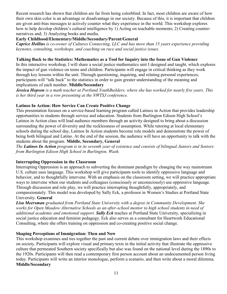Recent research has shown that children are far from being colorblind. In fact, most children are aware of how their own skin color is an advantage or disadvantage in our society. Because of this, it is important that children are given anti-bias messages to actively counter what they experience in the world. This workshop explores how to help develop children's cultural intelligence by 1) Acting on teachable moments; 2) Creating counternarratives and; 3) Analyzing books and media.

#### **Early Childhood/Elementary/Middle/Secondary/Parent/General**

*Caprice Hollins is co-owner of Cultures Connecting, LLC and has more than 15 years experience providing keynotes, consulting, workshops, and coaching on race and social justice issues.*

#### **Talking Back to the Statistics: Mathematics as a Tool for Inquiry into the Issue of Gun Violence**

In this interactive workshop, I will share a social justice mathematics unit I designed and taught, which explores the impact of gun violence on teens and children. Participants will engage in critical thinking as they work through key lessons within the unit. Through questioning, inquiring, and relating personal experiences, participants will "talk back" to the statistics in order to gain greater understanding of the meaning and implications of each number. **Middle/Secondary**

*Jessica Hopson is a math teacher at Portland YouthBuilders, where she has worked for nearly five years. This is her third year in a row presenting at the NWTSJ conference.*

#### **Latinos In Action: How Service Can Create Positive Change**

This presentation focuses on a service-based learning program called Latinos in Action that provides leadership opportunities to students through service and education. Students from Burlington Edison High School's Latinos in Action class will lead audience members through an activity designed to bring about a discussion surrounding the power of diversity and the recklessness of assumption. While tutoring at local elementary schools during the school day, Latinos In Action students become role models and demonstrate the power of being both bilingual and Latino. At the end of the session, the audience will have an opportunity to talk with the students about the program. **Middle, Secondary, General**

*The Latinos In Action program is in its seventh year of existence and consists of bilingual Juniors and Seniors from Burlington Edison High School in Burlington, Wash.*

#### **Interrupting Oppression in the Classroom**

Interrupting Oppression is an approach to subverting the dominant paradigm by changing the way mainstream U.S. culture uses language. This workshop will give participants tools to identify oppressive language and behavior, and to thoughtfully intervene. With an emphasis on the classroom setting, we will practice appropriate ways to intervene when our students and colleagues (consciously or unconsciously) use oppressive language. Through discussion and role play, we will practice interrupting thoughtfully, appropriately, and compassionately. This model was developed by Sally Eck, a professor in Women's Studies at Portland State University. **General**

*Lisa Meersman graduated from Portland State University with a degree in Community Development. She works for Open Meadow Alternative Schools as an after-school mentor to high school students in need of additional academic and emotional support. Sally Eck* teaches at Portland State University, specializing in social justice education and feminist pedagogy. Eck also serves as a consultant for Heartwork Educational Consulting, where she offers training on oppression and co-creating positive social change.

#### **Shaping Perceptions of Immigration: Then and Now**

This workshop examines and ties together the past and current debate over immigration laws and their effects on society. Participants will explore visual and primary texts in the initial activity that illustrate the oppressive culture that permeated Southern society specifically but also was found on the national level during the 1890s to the 1920s. Participants will then read a contemporary first person account about an undocumented person living today. Participants will write an interior monologue, perform a scenario, and then write about a moral dilemma. **Middle/Secondary**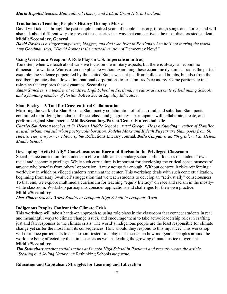#### *Marta Repollet teaches Multicultural History and ELL at Grant H.S. in Portland.*

#### **Troubadour: Teaching People's History Through Music**

David will take us through the past couple hundred years of people's history, through songs and stories, and will also talk about different ways to present these stories in a way that can captivate the most disinterested student.

### **Middle/Secondary, General**

*David Rovics is a singer/songwriter, blogger, and dad who lives in Portland when he's not touring the world. Amy Goodman says, "David Rovics is the musical version of* Democracy Now!*"*

#### **Using Greed as a Weapon: A Role Play on U.S. Imperialism in Iraq**

Too often, when we teach about wars we focus on the military aspects, but there is always an economic dimension to warfare. War is often inexplicable without examining these economic dynamics. Iraq is the perfect example: the violence perpetrated by the United States was not just from bullets and bombs, but also from the neoliberal policies that allowed international corporations to feast on Iraq's economy. Come participate in a role-play that explores these dynamics. **Secondary**

*Adam Sanchez is a teacher at Madison High School in Portland, an editorial associate of Rethinking Schools, and a founding member of Portland-Area Social Equality Educators.*

#### **Slam Poetry—A Tool for Cross-cultural Collaboration**

Mirroring the work of a SlamBoo—a Slam poetry collaboration of urban, rural, and suburban Slam poets committed to bridging boundaries of race, class, and geography—participants will collaborate, create, and perform original Slam poems. **Middle/Secondary/Parent/General/Interscholastic**

*Charles Sanderson teaches at St. Helens Middle School in rural Oregon. He is a founding member of SlamBoo, a rural, urban, and suburban poetry collaboration. Jodelle Marx and Kyleah Puyear are Slam poets from St. Helens. They are former editors of the* Reflections Literary Journal*. Bella Cimpan is an 8th grader at St. Helens Middle School.* 

#### **Developing "Activist Ally" Consciousness on Race and Racism in the Privileged Classroom**

Social justice curriculum for students in elite middle and secondary schools often focuses on students' own racial and economic privilege. While such curriculum is important for developing the critical consciousness of anyone who benefits from others' oppression, it may not go far enough. Without context, it risks reinforcing a worldview in which privileged students remain at the center. This workshop deals with such contextualization, beginning from Katy Swalwell's suggestion that we teach students to develop an "activist ally" consciousness. To that end, we explore multimedia curriculum for teaching "equity literacy" on race and racism in the mostlywhite classroom. Workshop participants consider applications and challenges for their own practice.

#### **Middle/Secondary**

*Lisa Sibbett teaches World Studies at Issaquah High School in Issaquah, Wash.*

#### **Indigenous Peoples Confront the Climate Crisis**

This workshop will take a hands-on approach to using role plays in the classroom that connect students in real and meaningful ways to climate change issues, and encourage them to take active leadership roles in crafting just and fair responses to the climate crisis. The world's indigenous people are the least responsible for climate change yet suffer the most from its consequences. How should they respond to this injustice? This workshop will introduce participants to a classroom-tested role play that focuses on how indigenous peoples around the world are being affected by the climate crisis as well as leading the growing climate justice movement.

### **Middle/Secondary**

*Tim Swinehart teaches social studies at Lincoln High School in Portland and recently wrote the article, "Stealing and Selling Nature" in* Rethinking Schools *magazine.*

#### **Education and Capitalism: Struggles for Learning and Liberation**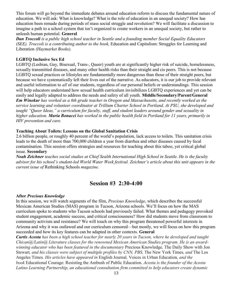This forum will go beyond the immediate debates around education reform to discuss the fundamental nature of education. We will ask: What is knowledge? What is the role of education in an unequal society? How has education been remade during periods of mass social struggle and revolution? We will facilitate a discussion to imagine a path to a school system that isn't organized to create workers in an unequal society, but rather to unleash human potential. **General**

*Dan Troccoli is a public high school teacher in Seattle and a founding member Social Equality Educators (SEE). Troccoli is a contributing author to the book,* Education and Capitalism: Struggles for Learning and Liberation *(Haymarket Books).*

#### **LGBTQ Inclusive Sex Ed**

LGBTQ (Lesbian, Gay, Bisexual, Trans-, Queer) youth are at significantly higher risk of suicide, homelessness, sexually transmitted diseases, and many other health risks than their straight and cis peers. This is not because LGBTQ sexual practices or lifestyles are fundamentally more dangerous than those of their straight peers, but because we have systematically left their lives out of the narrative. As educators, it is our job to provide relevant and useful information to *all* of our students, regardless of our personal beliefs or understandings. This session will help educators understand how sexual health curriculum invisibilizes LGBTQ experiences and yet can be easily and legally adapted to address the needs and safety of all youth. **Middle/Secondary/Parent/General** *Em Winokur has worked as a 6th grade teacher in Oregon and Massachusetts, and recently worked as the service learning and volunteer coordinator at Trillium Charter School in Portland. At PSU, she developed and taught "Queer Ideas," a curriculum for faculty, staff, and student leaders around gender and sexuality in higher education. Maria Bonacci has worked in the public health field in Portland for 11 years, primarily in HIV prevention and care.* 

#### **Teaching About Toilets: Lessons on the Global Sanitation Crisis**

2.6 billion people, or roughly 40 percent of the world's population, lack access to toilets. This sanitation crisis leads to the death of more than 700,000 children a year from diarrhea and other diseases caused by fecal contamination. This session offers strategies and resources for teaching about this taboo, yet critical global issue. **Secondary**

*Noah Zeichner teaches social studies at Chief Sealth International High School in Seattle. He is the faculty advisor for his school's student-led World Water Week festival. Zeichner's article about this unit appears in the current issue of* Rethinking Schools *magazine.*

# **Session #3 2:30-4:00**

#### **After** *Precious Knowledge*

In this session, we will watch segments of the film, *Precious Knowledge*, which describes the successful Mexican American Studies (MAS) program in Tucson, Arizona schools. We'll focus on how the MAS curriculum spoke to students who Tucson schools had previously failed. What themes and pedagogy provoked student engagement, academic success, and critical consciousness? How did students move from classroom to community activism and resistance? We will touch on why this program threatened powerful interests in Arizona and why it was outlawed and our curriculum censored—but mostly, we will focus on how this program succeeded and how its key features can be adapted in other contexts. **General**

*Curtis Acosta has been a high school teacher for nearly 20 years in Tucson, where he developed and taught Chican@/Latin@ Literature classes for the renowned Mexican American Studies program. He is an awardwinning educator who has been featured in the documentary* Precious Knowledge*,* The Daily Show with Jon Stewart*, and his classes were subject of multiple profiles by CNN, PBS,* The New York Times*, and* The Los Angeles Times*. His articles have appeared in* English Journal*,* Voices in Urban Education*, and the book* Educational Courage: Resisting the Ambush of Public Education*. Acosta is the founder of the Acosta Latino Learning Partnership, an educational consultation firm committed to help educators create dynamic*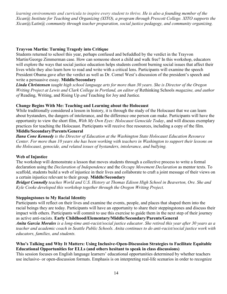*learning environments and curricula to inspire every student to thrive. He is also a founding member of the Xican@ Institute for Teaching and Organizing (XITO), a program through Prescott College. XITO supports the Xican@/Latin@ community through teacher preparation, social justice pedagogy, and community organizing.* 

#### **Trayvon Martin: Turning Tragedy into Critique**

Students returned to school this year, perhaps confused and befuddled by the verdict in the Trayvon Martin/George Zimmerman case. How can someone shoot a child and walk free? In this workshop, educators will explore the ways that social justice education helps students confront burning social issues that affect their lives while they also learn how to read and write with a critical lens. Participants will examine the speech President Obama gave after the verdict as well as Dr. Cornel West's discussion of the president's speech and write a persuasive essay. **Middle/Secondary**

*Linda Christensen taught high school language arts for more than 30 years. She is Director of the Oregon Writing Project at Lewis and Clark College in Portland, an editor of Rethinking Schools magazine, and author of* Reading, Writing, and Rising Up *and* Teaching for Joy and Justice*.*

#### **Change Begins With Me: Teaching and Learning about the Holocaust**

While traditionally considered a lesson in history, it is through the study of the Holocaust that we can learn about bystanders, the dangers of intolerance, and the difference one person can make. Participants will have the opportunity to view the short film, *With My Own Eyes: Holocaust Genocide Today*' and will discuss exemplary practices for teaching the Holocaust. Participants will receive free resources, including a copy of the film. **Middle/Secondary/Parents/General**

*Ilana Cone Kennedy is the Director of Education at the Washington State Holocaust Education Resource Center. For more than 10 years she has been working with teachers in Washington to support their lessons on the Holocaust, genocide, and related issues of bystanders, intolerance, and bullying.*

#### **Web of Injustice**

The workshop will demonstrate a lesson that moves students through a collective process to write a formal declaration using the *Declaration of Independence* and the *Occupy Movement Declaration* as mentor texts. To scaffold, students build a web of injustice in their lives and collaborate to craft a joint message of their views on a certain injustice relevant to their group. **Middle/Secondary**

*Bridget Connolly teaches World and U.S. History at Thomas Edison High School in Beaverton, Ore. She and Kyle Cooke developed this workshop together through the Oregon Writing Project.*

#### **Steppingstones to My Racial Identity**

Participants will reflect on their lives and examine the events, people, and places that shaped them into the racial beings they are today. Participants will have an opportunity to share their steppingstones and discuss their impact with others. Participants will commit to use this exercise to guide them in the next step of their journey as active anti-racists. **Early Childhood/Elementary/Middle/Secondary/Parents/General** *Anita Garcia Morales is a long-time anti-racist/social justice educator. She retired this year after 30 years as a* 

*teacher and academic coach in Seattle Public Schools. Anita continues to do anti-racist/social justice work with educators, families, and students.*

#### **Who's Talking and Why It Matters: Using Inclusive-Open-Discussion Strategies to Facilitate Equitable Educational Opportunities for ELLs (and others hesitant to speak in class discussions)**

This session focuses on English language learners' educational opportunities determined by whether teachers use inclusive- or open-discussion formats. Emphasis is on interpreting real-life scenarios in order to recognize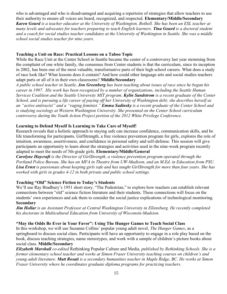who is advantaged and who is disadvantaged and acquiring a repertoire of strategies that allow teachers to use their authority to ensure all voices are heard, recognized, and respected. **Elementary/Middle/Secondary** *Karen Gourd is a teacher educator at the University of Washington, Bothell. She has been an ESL teacher at many levels and advocates for teachers preparing to teach English learners. Tina Gourd is a doctoral student and a coach for social studies teacher candidates at the University of Washington in Seattle. She was a middle school social studies teacher for nine years.* 

#### **Teaching a Unit on Race: Practical Lessons on a Taboo Topic**

While the Race Unit at the Center School in Seattle became the center of a controversy last year stemming from the complaint of one white family, the consensus from Center students is that the curriculum, since its inception in 2002, has been one of the most valuable, transformative parts of their high school careers. What does a study of race look like? What lessons does it contain? And how could other language arts and social studies teachers adapt parts or all of it in their own classrooms? **Middle/Secondary**

*A public school teacher in Seattle, Jon Greenberg has been teaching about issues of race since he began his career in 1997. His work has been recognized by a number of organizations, including the Seattle Human Services Coalition and the Seattle University MIT program. Kylin Sandstrom is a recent graduate of the Center School, and is pursuing a life career of paying off her University of Washington debt; she describes herself as an "active antiracist" and a "raging feminist." Emma Sadinsky is a recent graduate of the Center School and is studying sociology at Western Washington University. She presented on the Center School curriculum controversy during the Youth Action Project portion of the 2012 White Privilege Conference.* 

#### **Learning to Defend Myself Is Learning to Take Care of Myself!**

Research reveals that a holistic approach to staying safe can increase confidence, communication skills, and be life transforming for participants. GirlStrength, a free violence prevention program for girls, explores the role of intuition, awareness, assertiveness, and confidence in personal safety and self-defense. This session will give participants an opportunity to learn about the strategies and activities used in the nine-week program recently adapted to meet the needs of 5th-grade girls. **Elementary/Middle/General**

*Carolyne Haycraft is the Director of GirlStrength, a violence prevention program operated through the Portland Police Bureau. She has an MFA in Theatre from UW-Madison, and an M.Ed. in Education from PSU. Lisa Ernst is passionate about keeping girls safe and has taught GirlStrength for more than four years. She has worked with girls in grades 4-12 in both private and public school settings.*

#### **Teaching "Old" Science Fiction to Today's Students**

We'll use Ray Bradbury's 1951 short story, "The Pedestrian," to explore how teachers can establish relevant connections between "old" science fiction literature and their students. These connections will focus on the students' own experiences and ask them to consider the social justice explications of technological monitoring. **Secondary**

*Jim Hollar is an Assistant Professor at Central Washington University in Ellensburg. He recently completed his doctorate in Multicultural Education from University of Wisconsin-Madsion.*

#### **"May the Odds Be Ever in Your Favor": Using The Hunger Games to Teach Social Class**

In this workshop, we will use Suzanne Collins' popular young adult novel, *The Hunger Games*, as a springboard to discuss social class. Participants will have an opportunity to engage in a role play based on the book, discuss teaching strategies, name stereotypes, and work with a sample of children's picture books about social class. **Middle/Secondary**

*Elizabeth Marshall co-edited* Rethinking Popular Culture and Media*, published by Rethinking Schools. She is a former elementary school teacher and works at Simon Fraser University teaching courses on children's and young adult literature. Matt Rosati is a secondary humanities teacher in Maple Ridge, BC. He works at Simon Fraser University where he coordinates graduate diploma programs for practicing teachers.*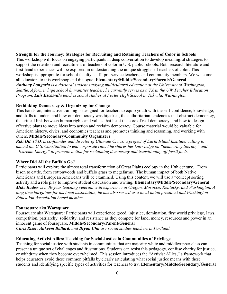#### **Strength for the Journey: Strategies for Recruiting and Retaining Teachers of Color in Schools**

This workshop will focus on engaging participants in deep conversation to develop meaningful strategies to support the retention and recruitment of teachers of color in U.S. public schools. Both research literature and first-hand experiences will be explored in understanding the unique struggles of teachers of color. This workshop is appropriate for school faculty, staff, pre-service teachers, and community members. We welcome all educators to this workshop and dialogue. **Elementary/Middle/Secondary/Parents/General** *Anthony Longoria is a doctoral student studying multicultural education at the University of Washington, Seattle. A former high school humanities teacher, he currently serves as a TA in the UW Teacher Education Program. Luis Escamilla teaches social studies at Foster High School in Tukwila, Washington.* 

#### **Rethinking Democracy & Organizing for Change**

This hands-on, interactive training is designed for teachers to equip youth with the self-confidence, knowledge, and skills to understand how our democracy was hijacked, the authoritarian tendencies that obstruct democracy, the critical link between human rights and values that lie at the core of real democracy, and how to design effective plans to move ideas into action and reclaim democracy. Course material would be valuable for American history, civics, and economics teachers and promotes thinking and reasoning, and working with others. **Middle/Secondary/Community Organizers**

*Riki Ott, PhD, is co-founder and director of Ultimate Civics, a project of Earth Island Institute, calling to amend the U.S. Constitution to end corporate rule. She shares her knowledge on "democracy literacy" and "Extreme Energy" to promote action for reclaiming democracy and transitioning off fossil fuels.*

#### **Where Did All the Buffalo Go?**

Participants will explore the almost total transformation of Great Plains ecology in the 19th century. From bison to cattle, from cottonwoods and buffalo grass to megafarms. The human impact of both Native Americans and European Americans will be examined. Using this content, we will use a "concept sorting" activity and a role play to improve student discussion and writing. **Elementary/Middle/Secondary/General** *Mike Radow is a 30-year teaching veteran, with experience in Oregon, Morocco, Kentucky, and Washington. A long time bargainer for his local association, he has also served as a local union president and Washington Education Association board member.*

#### **Foursquare aka Warsquare**

Foursquare aka Warsquare: Participants will experience greed, injustice, domination, first world privilege, laws, competition, patriarchy, solidarity, and resistance as they compete for land, money, resources and power in an innocent game of foursquare. **Middle/Secondary/Parent/General** *Chris Riser, Aukeem Ballard, and Bryan Chu are social studies teachers in Portland.*

#### **Educating Activist Allies: Teaching for Social Justice in Communities of Privilege**

Teaching for social justice with students in communities that are majority white and middle/upper class can present a unique set of challenges and frustrations. Students can resist this pedagogy, confuse charity for justice, or withdraw when they become overwhelmed. This session introduces the "Activist Allies," a framework that helps educators avoid these common pitfalls by clearly articulating what social justice means with these students and identifying specific types of activities for teachers to try. **Elementary/Middle/Secondary/General**